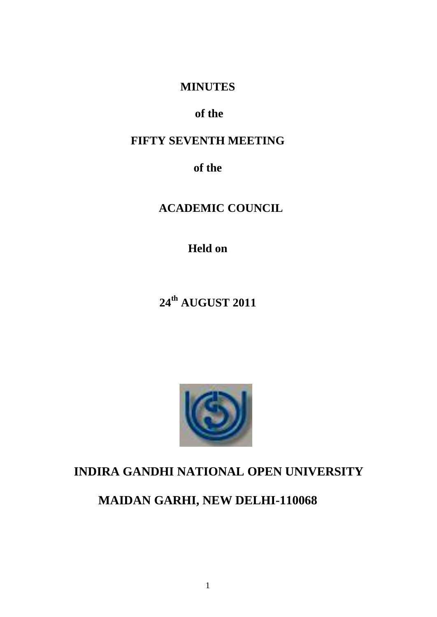# **MINUTES**

# **of the**

# **FIFTY SEVENTH MEETING**

**of the**

**ACADEMIC COUNCIL**

**Held on**

**24th AUGUST 2011**



# **INDIRA GANDHI NATIONAL OPEN UNIVERSITY**

**MAIDAN GARHI, NEW DELHI-110068**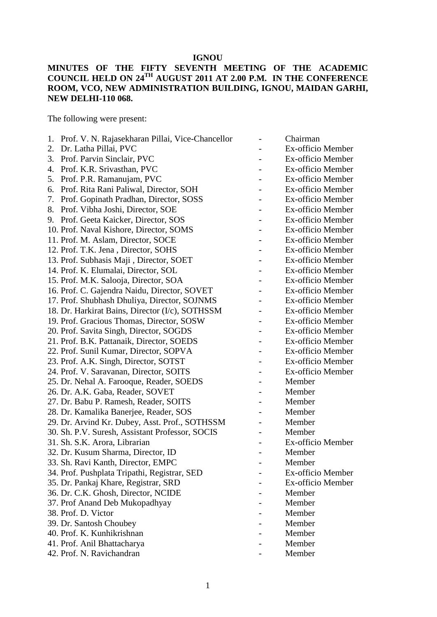### **IGNOU**

### **MINUTES OF THE FIFTY SEVENTH MEETING OF THE ACADEMIC COUNCIL HELD ON 24TH AUGUST 2011 AT 2.00 P.M. IN THE CONFERENCE ROOM, VCO, NEW ADMINISTRATION BUILDING, IGNOU, MAIDAN GARHI, NEW DELHI-110 068.**

The following were present:

| Prof. V. N. Rajasekharan Pillai, Vice-Chancellor<br>1. | Chairman          |
|--------------------------------------------------------|-------------------|
| Dr. Latha Pillai, PVC<br>2.                            | Ex-officio Member |
| 3.<br>Prof. Parvin Sinclair, PVC                       | Ex-officio Member |
| Prof. K.R. Srivasthan, PVC<br>4.                       | Ex-officio Member |
| Prof. P.R. Ramanujam, PVC<br>5.                        | Ex-officio Member |
| Prof. Rita Rani Paliwal, Director, SOH<br>6.           | Ex-officio Member |
| Prof. Gopinath Pradhan, Director, SOSS<br>7.           | Ex-officio Member |
| Prof. Vibha Joshi, Director, SOE<br>8.                 | Ex-officio Member |
| Prof. Geeta Kaicker, Director, SOS<br>9.               | Ex-officio Member |
| 10. Prof. Naval Kishore, Director, SOMS                | Ex-officio Member |
| 11. Prof. M. Aslam, Director, SOCE                     | Ex-officio Member |
| 12. Prof. T.K. Jena, Director, SOHS                    | Ex-officio Member |
| 13. Prof. Subhasis Maji, Director, SOET                | Ex-officio Member |
| 14. Prof. K. Elumalai, Director, SOL                   | Ex-officio Member |
| 15. Prof. M.K. Salooja, Director, SOA                  | Ex-officio Member |
| 16. Prof. C. Gajendra Naidu, Director, SOVET           | Ex-officio Member |
| 17. Prof. Shubhash Dhuliya, Director, SOJNMS           | Ex-officio Member |
| 18. Dr. Harkirat Bains, Director (I/c), SOTHSSM        | Ex-officio Member |
| 19. Prof. Gracious Thomas, Director, SOSW              | Ex-officio Member |
| 20. Prof. Savita Singh, Director, SOGDS                | Ex-officio Member |
| 21. Prof. B.K. Pattanaik, Director, SOEDS              | Ex-officio Member |
| 22. Prof. Sunil Kumar, Director, SOPVA                 | Ex-officio Member |
| 23. Prof. A.K. Singh, Director, SOTST                  | Ex-officio Member |
| 24. Prof. V. Saravanan, Director, SOITS                | Ex-officio Member |
| 25. Dr. Nehal A. Farooque, Reader, SOEDS               | Member            |
| 26. Dr. A.K. Gaba, Reader, SOVET                       | Member            |
| 27. Dr. Babu P. Ramesh, Reader, SOITS                  | Member            |
| 28. Dr. Kamalika Banerjee, Reader, SOS                 | Member            |
| 29. Dr. Arvind Kr. Dubey, Asst. Prof., SOTHSSM         | Member            |
| 30. Sh. P.V. Suresh, Assistant Professor, SOCIS        | Member            |
| 31. Sh. S.K. Arora, Librarian                          | Ex-officio Member |
| 32. Dr. Kusum Sharma, Director, ID                     | Member            |
| 33. Sh. Ravi Kanth, Director, EMPC                     | Member            |
| 34. Prof. Pushplata Tripathi, Registrar, SED           | Ex-officio Member |
| 35. Dr. Pankaj Khare, Registrar, SRD                   | Ex-officio Member |
| 36. Dr. C.K. Ghosh, Director, NCIDE                    | Member            |
| 37. Prof Anand Deb Mukopadhyay                         | Member            |
| 38. Prof. D. Victor                                    | Member            |
| 39. Dr. Santosh Choubey                                | Member            |
| 40. Prof. K. Kunhikrishnan                             | Member            |
| 41. Prof. Anil Bhattacharya                            | Member            |
| 42. Prof. N. Ravichandran                              | Member            |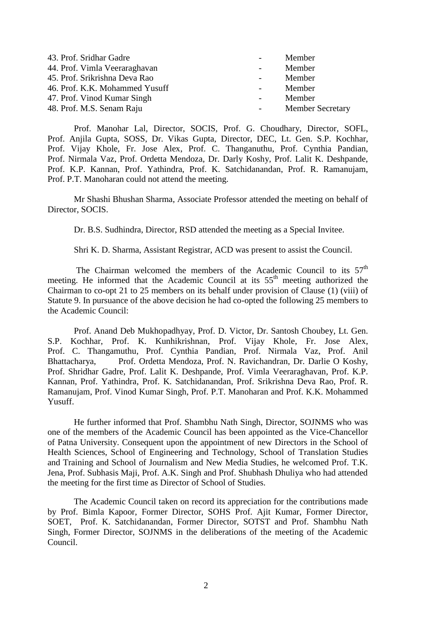| 43. Prof. Sridhar Gadre        | $\overline{\phantom{0}}$ | Member                  |
|--------------------------------|--------------------------|-------------------------|
| 44. Prof. Vimla Veeraraghavan  | $\sim$                   | Member                  |
| 45. Prof. Srikrishna Deva Rao  | $\sim 100$               | Member                  |
| 46. Prof. K.K. Mohammed Yusuff | $\sim 100$               | Member                  |
| 47. Prof. Vinod Kumar Singh    | $\sim$                   | Member                  |
| 48. Prof. M.S. Senam Raju      |                          | <b>Member Secretary</b> |

Prof. Manohar Lal, Director, SOCIS, Prof. G. Choudhary, Director, SOFL, Prof. Anjila Gupta, SOSS, Dr. Vikas Gupta, Director, DEC, Lt. Gen. S.P. Kochhar, Prof. Vijay Khole, Fr. Jose Alex, Prof. C. Thanganuthu, Prof. Cynthia Pandian, Prof. Nirmala Vaz, Prof. Ordetta Mendoza, Dr. Darly Koshy, Prof. Lalit K. Deshpande, Prof. K.P. Kannan, Prof. Yathindra, Prof. K. Satchidanandan, Prof. R. Ramanujam, Prof. P.T. Manoharan could not attend the meeting.

Mr Shashi Bhushan Sharma, Associate Professor attended the meeting on behalf of Director, SOCIS.

Dr. B.S. Sudhindra, Director, RSD attended the meeting as a Special Invitee.

Shri K. D. Sharma, Assistant Registrar, ACD was present to assist the Council.

The Chairman welcomed the members of the Academic Council to its  $57<sup>th</sup>$ meeting. He informed that the Academic Council at its  $55<sup>th</sup>$  meeting authorized the Chairman to co-opt 21 to 25 members on its behalf under provision of Clause (1) (viii) of Statute 9. In pursuance of the above decision he had co-opted the following 25 members to the Academic Council:

Prof. Anand Deb Mukhopadhyay, Prof. D. Victor, Dr. Santosh Choubey, Lt. Gen. S.P. Kochhar, Prof. K. Kunhikrishnan, Prof. Vijay Khole, Fr. Jose Alex, Prof. C. Thangamuthu, Prof. Cynthia Pandian, Prof. Nirmala Vaz, Prof. Anil Bhattacharya, Prof. Ordetta Mendoza, Prof. N. Ravichandran, Dr. Darlie O Koshy, Prof. Shridhar Gadre, Prof. Lalit K. Deshpande, Prof. Vimla Veeraraghavan, Prof. K.P. Kannan, Prof. Yathindra, Prof. K. Satchidanandan, Prof. Srikrishna Deva Rao, Prof. R. Ramanujam, Prof. Vinod Kumar Singh, Prof. P.T. Manoharan and Prof. K.K. Mohammed Yusuff.

He further informed that Prof. Shambhu Nath Singh, Director, SOJNMS who was one of the members of the Academic Council has been appointed as the Vice-Chancellor of Patna University. Consequent upon the appointment of new Directors in the School of Health Sciences, School of Engineering and Technology, School of Translation Studies and Training and School of Journalism and New Media Studies, he welcomed Prof. T.K. Jena, Prof. Subhasis Maji, Prof. A.K. Singh and Prof. Shubhash Dhuliya who had attended the meeting for the first time as Director of School of Studies.

The Academic Council taken on record its appreciation for the contributions made by Prof. Bimla Kapoor, Former Director, SOHS Prof. Ajit Kumar, Former Director, SOET, Prof. K. Satchidanandan, Former Director, SOTST and Prof. Shambhu Nath Singh, Former Director, SOJNMS in the deliberations of the meeting of the Academic Council.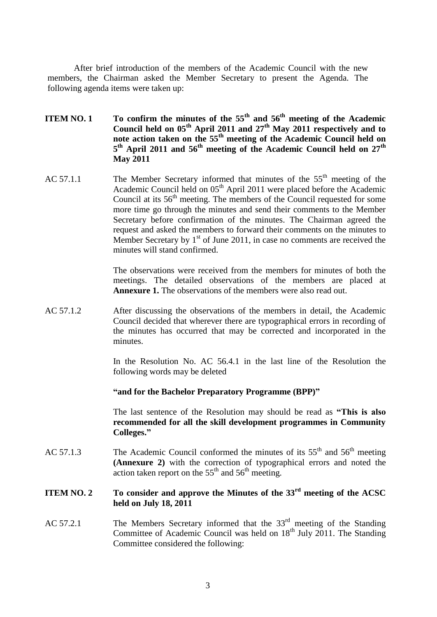After brief introduction of the members of the Academic Council with the new members, the Chairman asked the Member Secretary to present the Agenda. The following agenda items were taken up:

- **ITEM NO. 1 To confirm the minutes of the 55th and 56th meeting of the Academic Council held on 05th April 2011 and 27th May 2011 respectively and to note action taken on the 55th meeting of the Academic Council held on 5 th April 2011 and 56th meeting of the Academic Council held on 27th May 2011**
- AC 57.1.1 The Member Secretary informed that minutes of the  $55<sup>th</sup>$  meeting of the Academic Council held on 05<sup>th</sup> April 2011 were placed before the Academic Council at its  $56<sup>th</sup>$  meeting. The members of the Council requested for some more time go through the minutes and send their comments to the Member Secretary before confirmation of the minutes. The Chairman agreed the request and asked the members to forward their comments on the minutes to Member Secretary by  $1<sup>st</sup>$  of June 2011, in case no comments are received the minutes will stand confirmed.

The observations were received from the members for minutes of both the meetings. The detailed observations of the members are placed at **Annexure 1.** The observations of the members were also read out.

AC 57.1.2 After discussing the observations of the members in detail, the Academic Council decided that wherever there are typographical errors in recording of the minutes has occurred that may be corrected and incorporated in the minutes.

> In the Resolution No. AC 56.4.1 in the last line of the Resolution the following words may be deleted

**"and for the Bachelor Preparatory Programme (BPP)"**

The last sentence of the Resolution may should be read as **"This is also recommended for all the skill development programmes in Community Colleges."**

AC 57.1.3 The Academic Council conformed the minutes of its  $55<sup>th</sup>$  and  $56<sup>th</sup>$  meeting **(Annexure 2)** with the correction of typographical errors and noted the action taken report on the  $55<sup>th</sup>$  and  $56<sup>th</sup>$  meeting.

### **ITEM NO. 2 To consider and approve the Minutes of the 33rd meeting of the ACSC held on July 18, 2011**

AC 57.2.1 The Members Secretary informed that the  $33<sup>rd</sup>$  meeting of the Standing Committee of Academic Council was held on  $18<sup>th</sup>$  July 2011. The Standing Committee considered the following: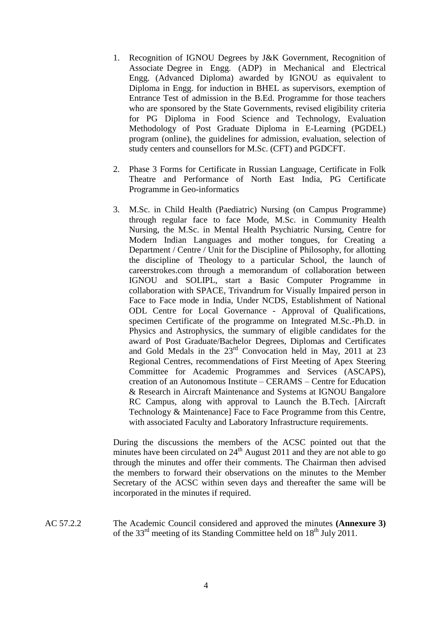- 1. Recognition of IGNOU Degrees by J&K Government, Recognition of Associate Degree in Engg. (ADP) in Mechanical and Electrical Engg. (Advanced Diploma) awarded by IGNOU as equivalent to Diploma in Engg. for induction in BHEL as supervisors, exemption of Entrance Test of admission in the B.Ed. Programme for those teachers who are sponsored by the State Governments, revised eligibility criteria for PG Diploma in Food Science and Technology, Evaluation Methodology of Post Graduate Diploma in E-Learning (PGDEL) program (online), the guidelines for admission, evaluation, selection of study centers and counsellors for M.Sc. (CFT) and PGDCFT.
- 2. Phase 3 Forms for Certificate in Russian Language, Certificate in Folk Theatre and Performance of North East India, PG Certificate Programme in Geo-informatics
- 3. M.Sc. in Child Health (Paediatric) Nursing (on Campus Programme) through regular face to face Mode, M.Sc. in Community Health Nursing, the M.Sc. in Mental Health Psychiatric Nursing, Centre for Modern Indian Languages and mother tongues, for Creating a Department / Centre / Unit for the Discipline of Philosophy, for allotting the discipline of Theology to a particular School, the launch of careerstrokes.com through a memorandum of collaboration between IGNOU and SOLIPL, start a Basic Computer Programme in collaboration with SPACE, Trivandrum for Visually Impaired person in Face to Face mode in India, Under NCDS, Establishment of National ODL Centre for Local Governance - Approval of Qualifications, specimen Certificate of the programme on Integrated M.Sc.-Ph.D. in Physics and Astrophysics, the summary of eligible candidates for the award of Post Graduate/Bachelor Degrees, Diplomas and Certificates and Gold Medals in the 23rd Convocation held in May, 2011 at 23 Regional Centres, recommendations of First Meeting of Apex Steering Committee for Academic Programmes and Services (ASCAPS), creation of an Autonomous Institute – CERAMS – Centre for Education & Research in Aircraft Maintenance and Systems at IGNOU Bangalore RC Campus, along with approval to Launch the B.Tech. [Aircraft Technology & Maintenance] Face to Face Programme from this Centre, with associated Faculty and Laboratory Infrastructure requirements.

During the discussions the members of the ACSC pointed out that the minutes have been circulated on  $24<sup>th</sup>$  August 2011 and they are not able to go through the minutes and offer their comments. The Chairman then advised the members to forward their observations on the minutes to the Member Secretary of the ACSC within seven days and thereafter the same will be incorporated in the minutes if required.

AC 57.2.2 The Academic Council considered and approved the minutes **(Annexure 3)** of the 33<sup>rd</sup> meeting of its Standing Committee held on  $18<sup>th</sup>$  July 2011.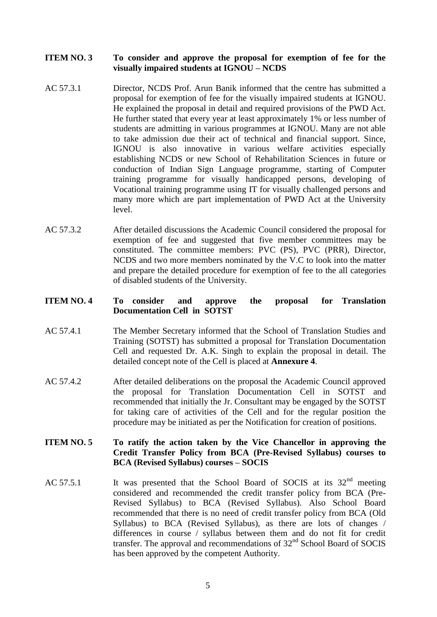### **ITEM NO. 3 To consider and approve the proposal for exemption of fee for the visually impaired students at IGNOU – NCDS**

- AC 57.3.1 Director, NCDS Prof. Arun Banik informed that the centre has submitted a proposal for exemption of fee for the visually impaired students at IGNOU. He explained the proposal in detail and required provisions of the PWD Act. He further stated that every year at least approximately 1% or less number of students are admitting in various programmes at IGNOU. Many are not able to take admission due their act of technical and financial support. Since, IGNOU is also innovative in various welfare activities especially establishing NCDS or new School of Rehabilitation Sciences in future or conduction of Indian Sign Language programme, starting of Computer training programme for visually handicapped persons, developing of Vocational training programme using IT for visually challenged persons and many more which are part implementation of PWD Act at the University level.
- AC 57.3.2 After detailed discussions the Academic Council considered the proposal for exemption of fee and suggested that five member committees may be constituted. The committee members: PVC (PS), PVC (PRR), Director, NCDS and two more members nominated by the V.C to look into the matter and prepare the detailed procedure for exemption of fee to the all categories of disabled students of the University.

### **ITEM NO. 4 To consider and approve the proposal for Translation Documentation Cell in SOTST**

- AC 57.4.1 The Member Secretary informed that the School of Translation Studies and Training (SOTST) has submitted a proposal for Translation Documentation Cell and requested Dr. A.K. Singh to explain the proposal in detail. The detailed concept note of the Cell is placed at **Annexure 4**.
- AC 57.4.2 After detailed deliberations on the proposal the Academic Council approved the proposal for Translation Documentation Cell in SOTST and recommended that initially the Jr. Consultant may be engaged by the SOTST for taking care of activities of the Cell and for the regular position the procedure may be initiated as per the Notification for creation of positions.

### **ITEM NO. 5 To ratify the action taken by the Vice Chancellor in approving the Credit Transfer Policy from BCA (Pre-Revised Syllabus) courses to BCA (Revised Syllabus) courses – SOCIS**

AC 57.5.1 It was presented that the School Board of SOCIS at its  $32<sup>nd</sup>$  meeting considered and recommended the credit transfer policy from BCA (Pre-Revised Syllabus) to BCA (Revised Syllabus). Also School Board recommended that there is no need of credit transfer policy from BCA (Old Syllabus) to BCA (Revised Syllabus), as there are lots of changes / differences in course / syllabus between them and do not fit for credit transfer. The approval and recommendations of  $32<sup>nd</sup>$  School Board of SOCIS has been approved by the competent Authority.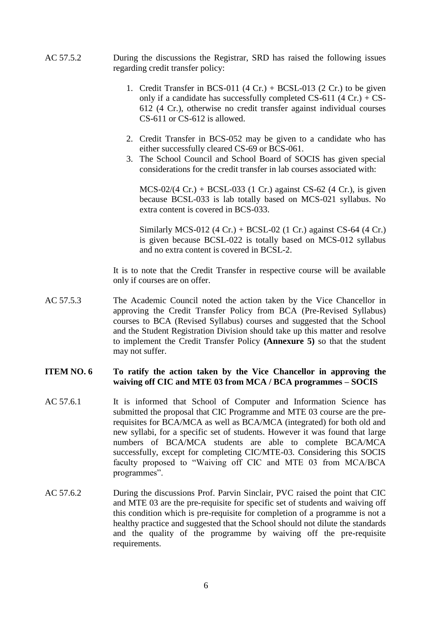- AC 57.5.2 During the discussions the Registrar, SRD has raised the following issues regarding credit transfer policy:
	- 1. Credit Transfer in BCS-011  $(4 Cr.) + BCSL-013 (2 Cr.)$  to be given only if a candidate has successfully completed  $CS-611$  (4 Cr.) + CS-612 (4 Cr.), otherwise no credit transfer against individual courses CS-611 or CS-612 is allowed.
	- 2. Credit Transfer in BCS-052 may be given to a candidate who has either successfully cleared CS-69 or BCS-061.
	- 3. The School Council and School Board of SOCIS has given special considerations for the credit transfer in lab courses associated with:

MCS-02/(4 Cr.) + BCSL-033 (1 Cr.) against CS-62 (4 Cr.), is given because BCSL-033 is lab totally based on MCS-021 syllabus. No extra content is covered in BCS-033.

Similarly MCS-012 (4 Cr.) + BCSL-02 (1 Cr.) against CS-64 (4 Cr.) is given because BCSL-022 is totally based on MCS-012 syllabus and no extra content is covered in BCSL-2.

It is to note that the Credit Transfer in respective course will be available only if courses are on offer.

AC 57.5.3 The Academic Council noted the action taken by the Vice Chancellor in approving the Credit Transfer Policy from BCA (Pre-Revised Syllabus) courses to BCA (Revised Syllabus) courses and suggested that the School and the Student Registration Division should take up this matter and resolve to implement the Credit Transfer Policy **(Annexure 5)** so that the student may not suffer.

### **ITEM NO. 6 To ratify the action taken by the Vice Chancellor in approving the waiving off CIC and MTE 03 from MCA / BCA programmes – SOCIS**

- AC 57.6.1 It is informed that School of Computer and Information Science has submitted the proposal that CIC Programme and MTE 03 course are the prerequisites for BCA/MCA as well as BCA/MCA (integrated) for both old and new syllabi, for a specific set of students. However it was found that large numbers of BCA/MCA students are able to complete BCA/MCA successfully, except for completing CIC/MTE-03. Considering this SOCIS faculty proposed to "Waiving off CIC and MTE 03 from MCA/BCA programmes".
- AC 57.6.2 During the discussions Prof. Parvin Sinclair, PVC raised the point that CIC and MTE 03 are the pre-requisite for specific set of students and waiving off this condition which is pre-requisite for completion of a programme is not a healthy practice and suggested that the School should not dilute the standards and the quality of the programme by waiving off the pre-requisite requirements.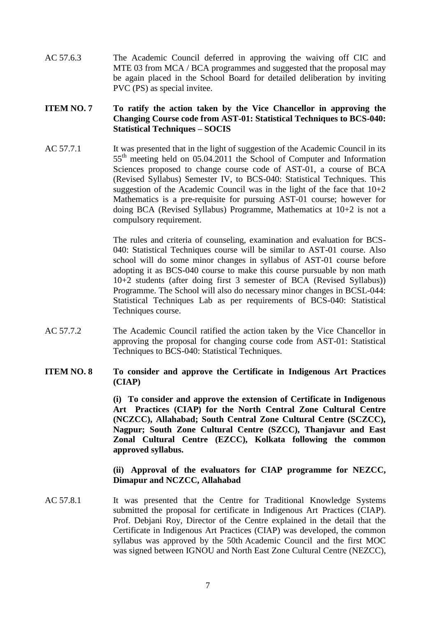AC 57.6.3 The Academic Council deferred in approving the waiving off CIC and MTE 03 from MCA / BCA programmes and suggested that the proposal may be again placed in the School Board for detailed deliberation by inviting PVC (PS) as special invitee.

### **ITEM NO. 7 To ratify the action taken by the Vice Chancellor in approving the Changing Course code from AST-01: Statistical Techniques to BCS-040: Statistical Techniques – SOCIS**

AC 57.7.1 It was presented that in the light of suggestion of the Academic Council in its 55<sup>th</sup> meeting held on 05.04.2011 the School of Computer and Information Sciences proposed to change course code of AST-01, a course of BCA (Revised Syllabus) Semester IV, to BCS-040: Statistical Techniques. This suggestion of the Academic Council was in the light of the face that  $10+2$ Mathematics is a pre-requisite for pursuing AST-01 course; however for doing BCA (Revised Syllabus) Programme, Mathematics at 10+2 is not a compulsory requirement.

> The rules and criteria of counseling, examination and evaluation for BCS-040: Statistical Techniques course will be similar to AST-01 course. Also school will do some minor changes in syllabus of AST-01 course before adopting it as BCS-040 course to make this course pursuable by non math 10+2 students (after doing first 3 semester of BCA (Revised Syllabus)) Programme. The School will also do necessary minor changes in BCSL-044: Statistical Techniques Lab as per requirements of BCS-040: Statistical Techniques course.

AC 57.7.2 The Academic Council ratified the action taken by the Vice Chancellor in approving the proposal for changing course code from AST-01: Statistical Techniques to BCS-040: Statistical Techniques.

### **ITEM NO. 8 To consider and approve the Certificate in Indigenous Art Practices (CIAP)**

**(i) To consider and approve the extension of Certificate in Indigenous Art Practices (CIAP) for the North Central Zone Cultural Centre (NCZCC), Allahabad; South Central Zone Cultural Centre (SCZCC), Nagpur; South Zone Cultural Centre (SZCC), Thanjavur and East Zonal Cultural Centre (EZCC), Kolkata following the common approved syllabus.**

### **(ii) Approval of the evaluators for CIAP programme for NEZCC, Dimapur and NCZCC, Allahabad**

AC 57.8.1 It was presented that the Centre for Traditional Knowledge Systems submitted the proposal for certificate in Indigenous Art Practices (CIAP). Prof. Debjani Roy, Director of the Centre explained in the detail that the Certificate in Indigenous Art Practices (CIAP) was developed, the common syllabus was approved by the 50th Academic Council and the first MOC was signed between IGNOU and North East Zone Cultural Centre (NEZCC),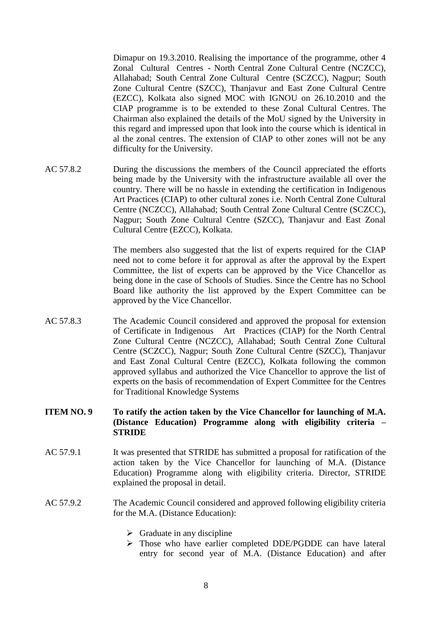Dimapur on 19.3.2010. Realising the importance of the programme, other 4 Zonal Cultural Centres - North Central Zone Cultural Centre (NCZCC), Allahabad; South Central Zone Cultural Centre (SCZCC), Nagpur; South Zone Cultural Centre (SZCC), Thanjavur and East Zone Cultural Centre (EZCC), Kolkata also signed MOC with IGNOU on 26.10.2010 and the CIAP programme is to be extended to these Zonal Cultural Centres. The Chairman also explained the details of the MoU signed by the University in this regard and impressed upon that look into the course which is identical in al the zonal centres. The extension of CIAP to other zones will not be any difficulty for the University.

AC 57.8.2 During the discussions the members of the Council appreciated the efforts being made by the University with the infrastructure available all over the country. There will be no hassle in extending the certification in Indigenous Art Practices (CIAP) to other cultural zones i.e. North Central Zone Cultural Centre (NCZCC), Allahabad; South Central Zone Cultural Centre (SCZCC), Nagpur; South Zone Cultural Centre (SZCC), Thanjavur and East Zonal Cultural Centre (EZCC), Kolkata.

> The members also suggested that the list of experts required for the CIAP need not to come before it for approval as after the approval by the Expert Committee, the list of experts can be approved by the Vice Chancellor as being done in the case of Schools of Studies. Since the Centre has no School Board like authority the list approved by the Expert Committee can be approved by the Vice Chancellor.

AC 57.8.3 The Academic Council considered and approved the proposal for extension of Certificate in Indigenous Art Practices (CIAP) for the North Central Zone Cultural Centre (NCZCC), Allahabad; South Central Zone Cultural Centre (SCZCC), Nagpur; South Zone Cultural Centre (SZCC), Thanjavur and East Zonal Cultural Centre (EZCC), Kolkata following the common approved syllabus and authorized the Vice Chancellor to approve the list of experts on the basis of recommendation of Expert Committee for the Centres for Traditional Knowledge Systems

### **ITEM NO. 9 To ratify the action taken by the Vice Chancellor for launching of M.A. (Distance Education) Programme along with eligibility criteria – STRIDE**

- AC 57.9.1 It was presented that STRIDE has submitted a proposal for ratification of the action taken by the Vice Chancellor for launching of M.A. (Distance Education) Programme along with eligibility criteria. Director, STRIDE explained the proposal in detail.
- AC 57.9.2 The Academic Council considered and approved following eligibility criteria for the M.A. (Distance Education):
	- $\triangleright$  Graduate in any discipline
	- Those who have earlier completed DDE/PGDDE can have lateral entry for second year of M.A. (Distance Education) and after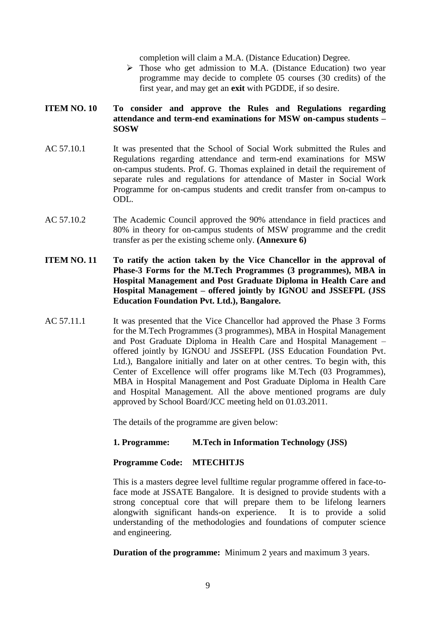completion will claim a M.A. (Distance Education) Degree.

 $\triangleright$  Those who get admission to M.A. (Distance Education) two vear programme may decide to complete 05 courses (30 credits) of the first year, and may get an **exit** with PGDDE, if so desire.

### **ITEM NO. 10 To consider and approve the Rules and Regulations regarding attendance and term-end examinations for MSW on-campus students – SOSW**

- AC 57.10.1 It was presented that the School of Social Work submitted the Rules and Regulations regarding attendance and term-end examinations for MSW on-campus students. Prof. G. Thomas explained in detail the requirement of separate rules and regulations for attendance of Master in Social Work Programme for on-campus students and credit transfer from on-campus to ODL.
- AC 57.10.2 The Academic Council approved the 90% attendance in field practices and 80% in theory for on-campus students of MSW programme and the credit transfer as per the existing scheme only. **(Annexure 6)**
- **ITEM NO. 11 To ratify the action taken by the Vice Chancellor in the approval of Phase-3 Forms for the M.Tech Programmes (3 programmes), MBA in Hospital Management and Post Graduate Diploma in Health Care and Hospital Management – offered jointly by IGNOU and JSSEFPL (JSS Education Foundation Pvt. Ltd.), Bangalore.**
- AC 57.11.1 It was presented that the Vice Chancellor had approved the Phase 3 Forms for the M.Tech Programmes (3 programmes), MBA in Hospital Management and Post Graduate Diploma in Health Care and Hospital Management – offered jointly by IGNOU and JSSEFPL (JSS Education Foundation Pvt. Ltd.), Bangalore initially and later on at other centres. To begin with, this Center of Excellence will offer programs like M.Tech (03 Programmes), MBA in Hospital Management and Post Graduate Diploma in Health Care and Hospital Management. All the above mentioned programs are duly approved by School Board/JCC meeting held on 01.03.2011.

The details of the programme are given below:

### **1. Programme: M.Tech in Information Technology (JSS)**

### **Programme Code: MTECHITJS**

This is a masters degree level fulltime regular programme offered in face-toface mode at JSSATE Bangalore. It is designed to provide students with a strong conceptual core that will prepare them to be lifelong learners alongwith significant hands-on experience. It is to provide a solid understanding of the methodologies and foundations of computer science and engineering.

**Duration of the programme:** Minimum 2 years and maximum 3 years.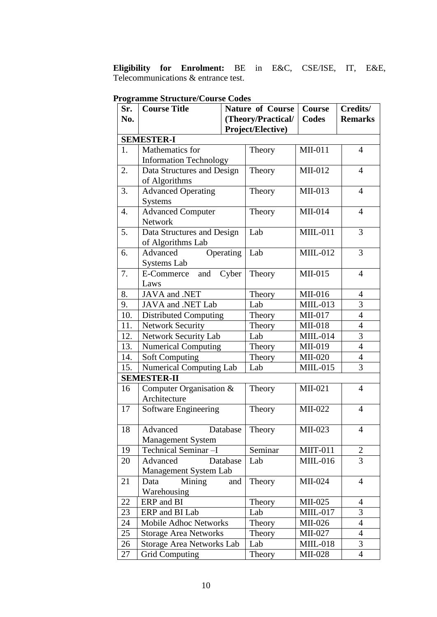**Eligibility for Enrolment:** BE in E&C, CSE/ISE, IT, E&E, Telecommunications & entrance test.

| Sr. | <b>Course Title</b>            | <b>Nature of Course</b> |                    | <b>Course</b>   | Credits/       |
|-----|--------------------------------|-------------------------|--------------------|-----------------|----------------|
| No. |                                |                         | (Theory/Practical/ | Codes           | <b>Remarks</b> |
|     |                                |                         | Project/Elective)  |                 |                |
|     | <b>SEMESTER-I</b>              |                         |                    |                 |                |
| 1.  | Mathematics for                |                         | Theory             | MII-011         | $\overline{4}$ |
|     | <b>Information Technology</b>  |                         |                    |                 |                |
| 2.  | Data Structures and Design     |                         | Theory             | $MII-012$       | $\overline{4}$ |
|     | of Algorithms                  |                         |                    |                 |                |
| 3.  | <b>Advanced Operating</b>      |                         | Theory             | $MII-013$       | $\overline{4}$ |
|     | <b>Systems</b>                 |                         |                    |                 |                |
| 4.  | <b>Advanced Computer</b>       |                         | Theory             | MII-014         | $\overline{4}$ |
|     | Network                        |                         |                    |                 |                |
| 5.  | Data Structures and Design     |                         | Lab                | <b>MIIL-011</b> | $\overline{3}$ |
|     | of Algorithms Lab              |                         |                    |                 |                |
| 6.  | Advanced                       | Operating               | Lab                | $MIIL-012$      | $\overline{3}$ |
|     | Systems Lab                    |                         |                    |                 |                |
| 7.  | and Cyber<br>E-Commerce        |                         | Theory             | MII-015         | $\overline{4}$ |
|     | Laws                           |                         |                    |                 |                |
| 8.  | JAVA and .NET                  |                         | Theory             | MII-016         | $\overline{4}$ |
| 9.  | JAVA and .NET Lab              |                         | Lab                | $MIIL-013$      | 3              |
| 10. | <b>Distributed Computing</b>   |                         | Theory             | $MII-017$       | $\overline{4}$ |
| 11. | <b>Network Security</b>        |                         | Theory             | <b>MII-018</b>  | $\overline{4}$ |
| 12. | Network Security Lab           |                         | Lab                | MIIL-014        | $\overline{3}$ |
| 13. | <b>Numerical Computing</b>     |                         | Theory             | MII-019         | $\overline{4}$ |
| 14. | <b>Soft Computing</b>          |                         | Theory             | MII-020         | $\overline{4}$ |
| 15. | <b>Numerical Computing Lab</b> |                         | Lab                | $MILL-015$      | $\overline{3}$ |
|     | <b>SEMESTER-II</b>             |                         |                    |                 |                |
| 16  | Computer Organisation &        |                         | Theory             | MII-021         | $\overline{4}$ |
|     | Architecture                   |                         |                    |                 |                |
| 17  | <b>Software Engineering</b>    |                         | Theory             | MII-022         | $\overline{4}$ |
|     |                                |                         |                    |                 |                |
| 18  | Advanced                       | Database                | Theory             | MII-023         | $\overline{4}$ |
|     | <b>Management System</b>       |                         |                    |                 |                |
| 19  | Technical Seminar-I            |                         | Seminar            | <b>MIIT-011</b> | 2              |
| 20  | Advanced                       | Database                | Lab                | $MILL-016$      | $\overline{3}$ |
|     | Management System Lab          |                         |                    |                 |                |
| 21  | Data<br>Mining                 | and                     | Theory             | MII-024         | $\overline{4}$ |
|     | Warehousing                    |                         |                    |                 |                |
| 22  | ERP and BI                     |                         | Theory             | MII-025         | $\overline{4}$ |
| 23  | ERP and BI Lab                 |                         | Lab                | <b>MIIL-017</b> | 3              |
| 24  | Mobile Adhoc Networks          |                         | Theory             | MII-026         | $\overline{4}$ |
| 25  | <b>Storage Area Networks</b>   |                         | Theory             | MII-027         | $\overline{4}$ |
| 26  | Storage Area Networks Lab      |                         | Lab                | <b>MIIL-018</b> | 3              |
| 27  | <b>Grid Computing</b>          |                         | Theory             | <b>MII-028</b>  | $\overline{4}$ |

### **Programme Structure/Course Codes**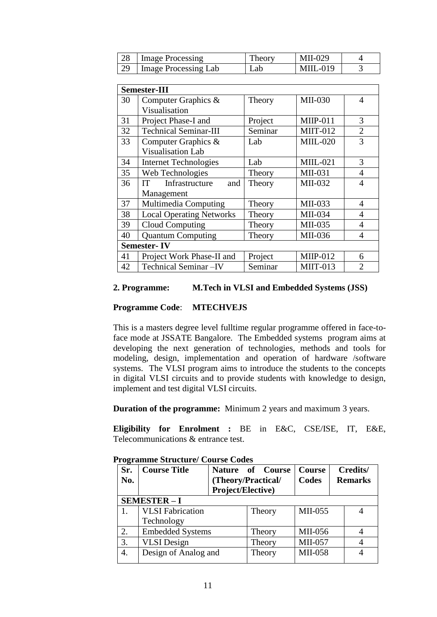| 28 | Image Processing     | Theory | $MII-029$        |  |
|----|----------------------|--------|------------------|--|
| 29 | Image Processing Lab | ∟ab    | <b>MIII</b> -019 |  |

|    | <b>Semester-III</b>                |         |                 |                |  |  |  |
|----|------------------------------------|---------|-----------------|----------------|--|--|--|
| 30 | Computer Graphics &                | Theory  | MII-030         | $\overline{4}$ |  |  |  |
|    | Visualisation                      |         |                 |                |  |  |  |
| 31 | Project Phase-I and                | Project | <b>MIIP-011</b> | 3              |  |  |  |
| 32 | <b>Technical Seminar-III</b>       | Seminar | <b>MIIT-012</b> | $\overline{2}$ |  |  |  |
| 33 | Computer Graphics &                | Lab     | <b>MIIL-020</b> | 3              |  |  |  |
|    | <b>Visualisation Lab</b>           |         |                 |                |  |  |  |
| 34 | <b>Internet Technologies</b>       | Lab     | $MILL-021$      | 3              |  |  |  |
| 35 | Web Technologies                   | Theory  | MII-031         | 4              |  |  |  |
| 36 | Infrastructure<br><b>IT</b><br>and | Theory  | MII-032         | 4              |  |  |  |
|    | Management                         |         |                 |                |  |  |  |
| 37 | Multimedia Computing               | Theory  | MII-033         | 4              |  |  |  |
| 38 | <b>Local Operating Networks</b>    | Theory  | MII-034         | $\overline{4}$ |  |  |  |
| 39 | Cloud Computing                    | Theory  | MII-035         | $\overline{4}$ |  |  |  |
| 40 | <b>Quantum Computing</b>           | Theory  | MII-036         | 4              |  |  |  |
|    | <b>Semester-IV</b>                 |         |                 |                |  |  |  |
| 41 | Project Work Phase-II and          | Project | <b>MIIP-012</b> | 6              |  |  |  |
| 42 | Technical Seminar-IV               | Seminar | <b>MIIT-013</b> | $\mathfrak{D}$ |  |  |  |

### **2. Programme: M.Tech in VLSI and Embedded Systems (JSS)**

### **Programme Code**: **MTECHVEJS**

This is a masters degree level fulltime regular programme offered in face-toface mode at JSSATE Bangalore. The Embedded systems program aims at developing the next generation of technologies, methods and tools for modeling, design, implementation and operation of hardware /software systems. The VLSI program aims to introduce the students to the concepts in digital VLSI circuits and to provide students with knowledge to design, implement and test digital VLSI circuits.

**Duration of the programme:** Minimum 2 years and maximum 3 years.

**Eligibility for Enrolment :** BE in E&C, CSE/ISE, IT, E&E, Telecommunications & entrance test.

| Sr.<br>No. | <b>Course Title</b>     | Project/Elective) | Nature of Course<br>(Theory/Practical/ | <b>Course</b><br>Codes |  | Credits/<br><b>Remarks</b> |  |
|------------|-------------------------|-------------------|----------------------------------------|------------------------|--|----------------------------|--|
|            | <b>SEMESTER-I</b>       |                   |                                        |                        |  |                            |  |
|            | <b>VLSI</b> Fabrication |                   | Theory                                 | MII-055                |  |                            |  |
|            | Technology              |                   |                                        |                        |  |                            |  |
| 2.         | <b>Embedded Systems</b> |                   | Theory                                 | MII-056                |  |                            |  |
| 3.         | <b>VLSI</b> Design      |                   | Theory                                 | MII-057                |  |                            |  |
| 4.         | Design of Analog and    |                   | Theory                                 | MII-058                |  |                            |  |

**Programme Structure/ Course Codes**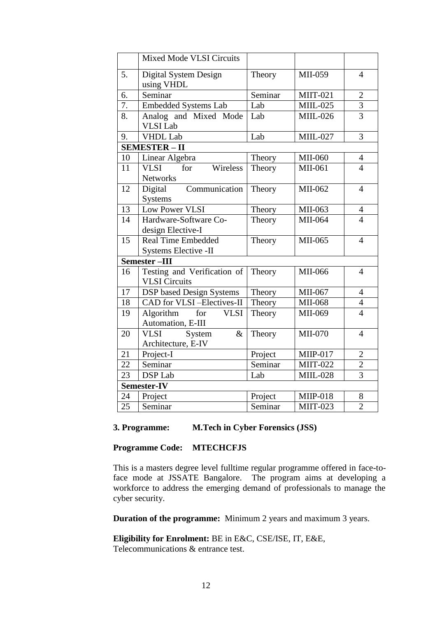|                 | <b>Mixed Mode VLSI Circuits</b>                      |                         |                 |                |
|-----------------|------------------------------------------------------|-------------------------|-----------------|----------------|
| 5.              | Digital System Design<br>using VHDL                  | Theory                  | MII-059         | $\overline{4}$ |
| 6.              | Seminar                                              | Seminar                 | <b>MIIT-021</b> | $\overline{2}$ |
| 7.              | <b>Embedded Systems Lab</b>                          | $\overline{\text{Lab}}$ | <b>MIIL-025</b> | $\overline{3}$ |
| 8.              | Analog and Mixed Mode<br><b>VLSI</b> Lab             | Lab                     | <b>MIIL-026</b> | $\overline{3}$ |
| 9.              | <b>VHDL Lab</b>                                      | Lab                     | <b>MIIL-027</b> | $\overline{3}$ |
|                 | <b>SEMESTER-II</b>                                   |                         |                 |                |
| 10              | Linear Algebra                                       | Theory                  | MII-060         | $\overline{4}$ |
| 11              | Wireless<br><b>VLSI</b><br>for<br><b>Networks</b>    | Theory                  | MII-061         | $\overline{4}$ |
| 12              | Digital<br>Communication<br><b>Systems</b>           | Theory                  | MII-062         | $\overline{4}$ |
| 13              | Low Power VLSI                                       | Theory                  | MII-063         | $\overline{4}$ |
| 14              | Hardware-Software Co-<br>design Elective-I           | Theory                  | MII-064         | $\overline{4}$ |
| 15              | <b>Real Time Embedded</b><br>Systems Elective -II    | Theory                  | MII-065         | $\overline{4}$ |
|                 | Semester-III                                         |                         |                 |                |
| 16              | Testing and Verification of<br><b>VLSI</b> Circuits  | Theory                  | MII-066         | $\overline{4}$ |
| 17              | <b>DSP</b> based Design Systems                      | Theory                  | MII-067         | $\overline{4}$ |
| 18              | CAD for VLSI-Electives-II                            | Theory                  | MII-068         | $\overline{4}$ |
| 19              | Algorithm<br>for<br><b>VLSI</b><br>Automation, E-III | Theory                  | MII-069         | $\overline{4}$ |
| 20              | <b>VLSI</b><br>System<br>$\&$<br>Architecture, E-IV  | Theory                  | MII-070         | $\overline{4}$ |
| 21              | Project-I                                            | Project                 | MIIP-017        | $\overline{2}$ |
| 22              | Seminar                                              | Seminar                 | <b>MIIT-022</b> | $\overline{2}$ |
| 23              | <b>DSP</b> Lab                                       | Lab                     | <b>MIIL-028</b> | $\overline{3}$ |
|                 | Semester-IV                                          |                         |                 |                |
| 24              | Project                                              | Project                 | <b>MIIP-018</b> | 8              |
| $\overline{25}$ | Seminar                                              | Seminar                 | <b>MIIT-023</b> | $\overline{2}$ |

### **3. Programme: M.Tech in Cyber Forensics (JSS)**

### **Programme Code: MTECHCFJS**

This is a masters degree level fulltime regular programme offered in face-toface mode at JSSATE Bangalore. The program aims at developing a workforce to address the emerging demand of professionals to manage the cyber security.

**Duration of the programme:** Minimum 2 years and maximum 3 years.

**Eligibility for Enrolment:** BE in E&C, CSE/ISE, IT, E&E, Telecommunications & entrance test.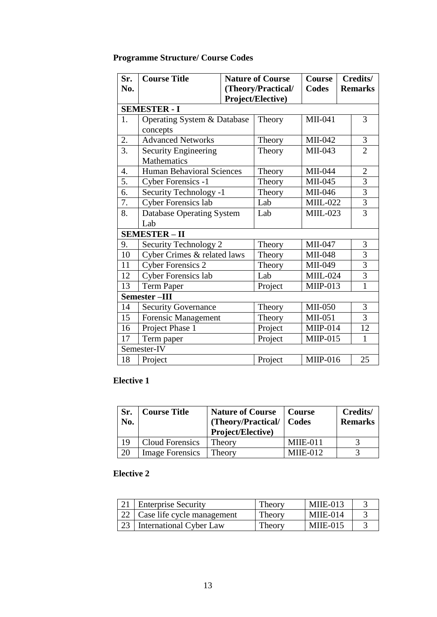## **Programme Structure/ Course Codes**

| Sr.<br>No.       | <b>Course Title</b>                        |  | <b>Nature of Course</b><br>(Theory/Practical/ | <b>Course</b><br><b>Codes</b> |  | Credits/<br><b>Remarks</b> |
|------------------|--------------------------------------------|--|-----------------------------------------------|-------------------------------|--|----------------------------|
|                  |                                            |  | Project/Elective)                             |                               |  |                            |
|                  | <b>SEMESTER - I</b>                        |  |                                               |                               |  |                            |
| 1.               | Operating System & Database<br>concepts    |  | Theory                                        | MII-041                       |  | 3                          |
| 2.               | <b>Advanced Networks</b>                   |  | Theory                                        | MII-042                       |  | $\mathfrak{Z}$             |
| $\overline{3}$ . | <b>Security Engineering</b><br>Mathematics |  | Theory                                        | MII-043                       |  | $\overline{2}$             |
| 4.               | <b>Human Behavioral Sciences</b>           |  | Theory                                        | MII-044                       |  | $\mathbf{2}$               |
| 5.               | Cyber Forensics -1                         |  | Theory                                        | MII-045                       |  | $\overline{3}$             |
| 6.               | Security Technology -1                     |  | Theory                                        | MII-046                       |  | $\overline{3}$             |
| 7.               | <b>Cyber Forensics lab</b>                 |  | Lab                                           | <b>MIIL-022</b>               |  | $\overline{3}$             |
| 8.               | <b>Database Operating System</b>           |  | Lab                                           | $MIIL-023$                    |  | $\overline{3}$             |
|                  | Lab                                        |  |                                               |                               |  |                            |
|                  | <b>SEMESTER - II</b>                       |  |                                               |                               |  |                            |
| 9.               | Security Technology 2                      |  | Theory                                        | MII-047                       |  | 3                          |
| 10               | Cyber Crimes & related laws                |  | Theory                                        | MII-048                       |  | $\overline{\mathbf{3}}$    |
| 11               | <b>Cyber Forensics 2</b>                   |  | Theory                                        | MII-049                       |  | $\overline{3}$             |
| 12               | <b>Cyber Forensics lab</b>                 |  | Lab                                           | <b>MIIL-024</b>               |  | 3                          |
| 13               | <b>Term Paper</b>                          |  | Project                                       | $MIIP-013$                    |  | $\mathbf{1}$               |
|                  | Semester-III                               |  |                                               |                               |  |                            |
| 14               | <b>Security Governance</b>                 |  | Theory                                        | <b>MII-050</b>                |  | 3                          |
| 15               | <b>Forensic Management</b>                 |  | Theory                                        | MII-051                       |  | $\overline{3}$             |
| 16               | Project Phase 1                            |  | Project                                       | $MIIP-014$                    |  | 12                         |
| 17               | Term paper                                 |  | Project                                       | <b>MIIP-015</b>               |  | $\mathbf{1}$               |
|                  | Semester-IV                                |  |                                               |                               |  |                            |
| 18               | Project                                    |  | Project                                       | <b>MIIP-016</b>               |  | 25                         |

### **Elective 1**

| Sr.<br>No. | <b>Course Title</b>    | <b>Nature of Course</b><br>(Theory/Practical/   Codes<br>Project/Elective) | Course     | Credits/<br><b>Remarks</b> |
|------------|------------------------|----------------------------------------------------------------------------|------------|----------------------------|
| 19         | Cloud Forensics        | Theory                                                                     | MIIE-011   |                            |
| 20         | <b>Image Forensics</b> | Theory                                                                     | $MIIE-012$ |                            |

### **Elective 2**

| 21 Enterprise Security          | Theory | $MIIE-013$ |  |
|---------------------------------|--------|------------|--|
| 22   Case life cycle management | Theory | $MIIE-014$ |  |
| 23   International Cyber Law    | Theory | $MIIE-015$ |  |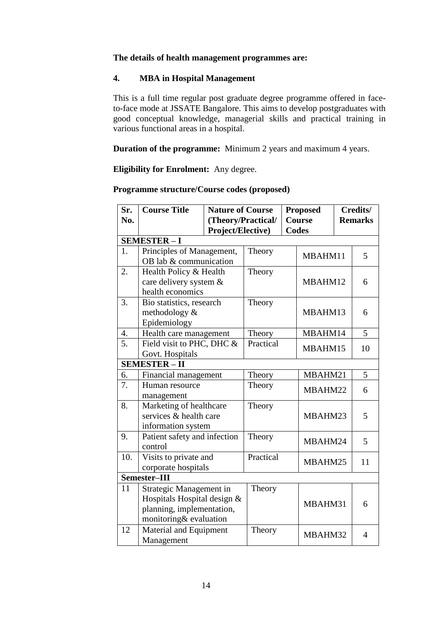### **The details of health management programmes are:**

### **4. MBA in Hospital Management**

This is a full time regular post graduate degree programme offered in faceto-face mode at JSSATE Bangalore. This aims to develop postgraduates with good conceptual knowledge, managerial skills and practical training in various functional areas in a hospital.

**Duration of the programme:** Minimum 2 years and maximum 4 years.

**Eligibility for Enrolment:** Any degree.

| Sr.<br>No.       | <b>Course Title</b>                                                                                           | <b>Nature of Course</b><br>(Theory/Practical/<br>Project/Elective) |           | <b>Proposed</b><br><b>Course</b><br><b>Codes</b> | Credits/<br><b>Remarks</b> |
|------------------|---------------------------------------------------------------------------------------------------------------|--------------------------------------------------------------------|-----------|--------------------------------------------------|----------------------------|
|                  | <b>SEMESTER-I</b>                                                                                             |                                                                    |           |                                                  |                            |
| 1.               | Principles of Management,<br>OB lab & communication                                                           |                                                                    | Theory    | MBAHM11                                          | 5                          |
| 2.               | Health Policy & Health<br>care delivery system &<br>health economics                                          |                                                                    | Theory    | MBAHM12                                          | 6                          |
| 3.               | Bio statistics, research<br>methodology &<br>Epidemiology                                                     |                                                                    | Theory    | MBAHM13                                          | 6                          |
| $\overline{4}$ . | Health care management                                                                                        |                                                                    | Theory    | MBAHM14                                          | 5                          |
| $\overline{5}$ . | Field visit to PHC, DHC &<br>Govt. Hospitals                                                                  |                                                                    | Practical | MBAHM15                                          | 10                         |
|                  | <b>SEMESTER-II</b>                                                                                            |                                                                    |           |                                                  |                            |
| 6.               | Financial management                                                                                          |                                                                    | Theory    | MBAHM21                                          | 5                          |
| 7.               | Human resource<br>management                                                                                  |                                                                    | Theory    | MBAHM22                                          | 6                          |
| 8.               | Marketing of healthcare<br>services & health care<br>information system                                       |                                                                    | Theory    | MBAHM23                                          | 5                          |
| 9.               | Patient safety and infection<br>control                                                                       |                                                                    | Theory    | MBAHM24                                          | 5                          |
| 10.              | Visits to private and<br>corporate hospitals                                                                  |                                                                    | Practical | MBAHM25                                          | 11                         |
|                  | Semester-III                                                                                                  |                                                                    |           |                                                  |                            |
| 11               | Strategic Management in<br>Hospitals Hospital design &<br>planning, implementation,<br>monitoring& evaluation |                                                                    | Theory    | MBAHM31                                          | 6                          |
| 12               | Material and Equipment<br>Management                                                                          |                                                                    | Theory    | MBAHM32                                          | $\overline{4}$             |

#### **Programme structure/Course codes (proposed)**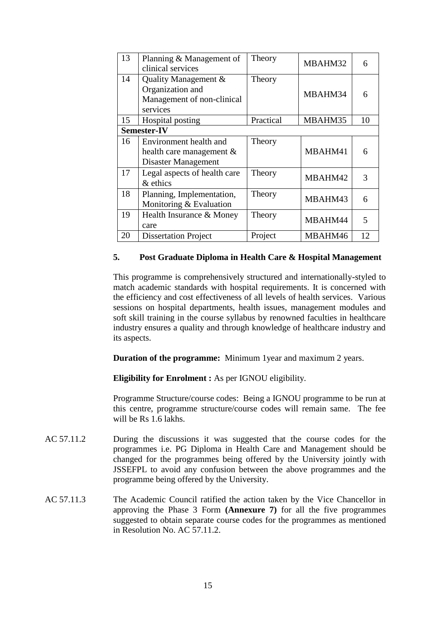| 13 | Planning & Management of<br>clinical services                                      | Theory    | MBAHM32 | 6  |
|----|------------------------------------------------------------------------------------|-----------|---------|----|
| 14 | Quality Management &<br>Organization and<br>Management of non-clinical<br>services | Theory    | MBAHM34 | 6  |
| 15 | Hospital posting                                                                   | Practical | MBAHM35 | 10 |
|    | <b>Semester-IV</b>                                                                 |           |         |    |
| 16 | Environment health and<br>health care management &<br>Disaster Management          | Theory    | MBAHM41 | 6  |
| 17 | Legal aspects of health care<br>& ethics                                           | Theory    | MBAHM42 | 3  |
| 18 | Planning, Implementation,<br>Monitoring & Evaluation                               | Theory    | MBAHM43 | 6  |
| 19 | Health Insurance & Money<br>care                                                   | Theory    | MBAHM44 | 5  |
| 20 | <b>Dissertation Project</b>                                                        | Project   | MBAHM46 | 12 |

### **5. Post Graduate Diploma in Health Care & Hospital Management**

This programme is comprehensively structured and internationally-styled to match academic standards with hospital requirements. It is concerned with the efficiency and cost effectiveness of all levels of health services. Various sessions on hospital departments, health issues, management modules and soft skill training in the course syllabus by renowned faculties in healthcare industry ensures a quality and through knowledge of healthcare industry and its aspects.

**Duration of the programme:** Minimum 1year and maximum 2 years.

**Eligibility for Enrolment :** As per IGNOU eligibility.

Programme Structure/course codes: Being a IGNOU programme to be run at this centre, programme structure/course codes will remain same. The fee will be Rs 1.6 lakhs.

- AC 57.11.2 During the discussions it was suggested that the course codes for the programmes i.e. PG Diploma in Health Care and Management should be changed for the programmes being offered by the University jointly with JSSEFPL to avoid any confusion between the above programmes and the programme being offered by the University.
- AC 57.11.3 The Academic Council ratified the action taken by the Vice Chancellor in approving the Phase 3 Form **(Annexure 7)** for all the five programmes suggested to obtain separate course codes for the programmes as mentioned in Resolution No. AC 57.11.2.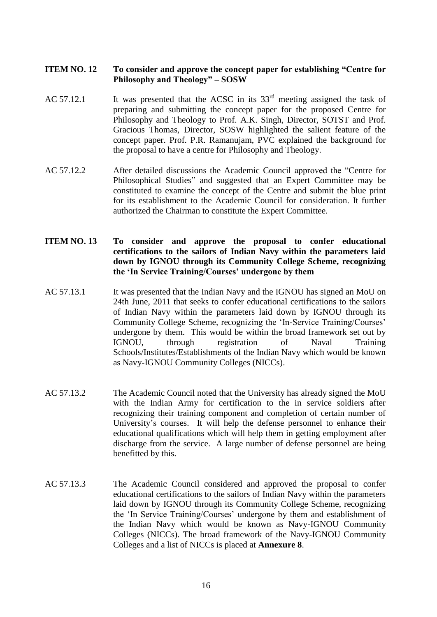### **ITEM NO. 12 To consider and approve the concept paper for establishing "Centre for Philosophy and Theology" – SOSW**

- AC 57.12.1 It was presented that the ACSC in its  $33<sup>rd</sup>$  meeting assigned the task of preparing and submitting the concept paper for the proposed Centre for Philosophy and Theology to Prof. A.K. Singh, Director, SOTST and Prof. Gracious Thomas, Director, SOSW highlighted the salient feature of the concept paper. Prof. P.R. Ramanujam, PVC explained the background for the proposal to have a centre for Philosophy and Theology.
- AC 57.12.2 After detailed discussions the Academic Council approved the "Centre for Philosophical Studies" and suggested that an Expert Committee may be constituted to examine the concept of the Centre and submit the blue print for its establishment to the Academic Council for consideration. It further authorized the Chairman to constitute the Expert Committee.
- **ITEM NO. 13 To consider and approve the proposal to confer educational certifications to the sailors of Indian Navy within the parameters laid down by IGNOU through its Community College Scheme, recognizing the 'In Service Training/Courses' undergone by them**
- AC 57.13.1 It was presented that the Indian Navy and the IGNOU has signed an MoU on 24th June, 2011 that seeks to confer educational certifications to the sailors of Indian Navy within the parameters laid down by IGNOU through its Community College Scheme, recognizing the 'In-Service Training/Courses' undergone by them. This would be within the broad framework set out by IGNOU, through registration of Naval Training Schools/Institutes/Establishments of the Indian Navy which would be known as Navy-IGNOU Community Colleges (NICCs).
- AC 57.13.2 The Academic Council noted that the University has already signed the MoU with the Indian Army for certification to the in service soldiers after recognizing their training component and completion of certain number of University's courses. It will help the defense personnel to enhance their educational qualifications which will help them in getting employment after discharge from the service. A large number of defense personnel are being benefitted by this.
- AC 57.13.3 The Academic Council considered and approved the proposal to confer educational certifications to the sailors of Indian Navy within the parameters laid down by IGNOU through its Community College Scheme, recognizing the 'In Service Training/Courses' undergone by them and establishment of the Indian Navy which would be known as Navy-IGNOU Community Colleges (NICCs). The broad framework of the Navy-IGNOU Community Colleges and a list of NICCs is placed at **Annexure 8**.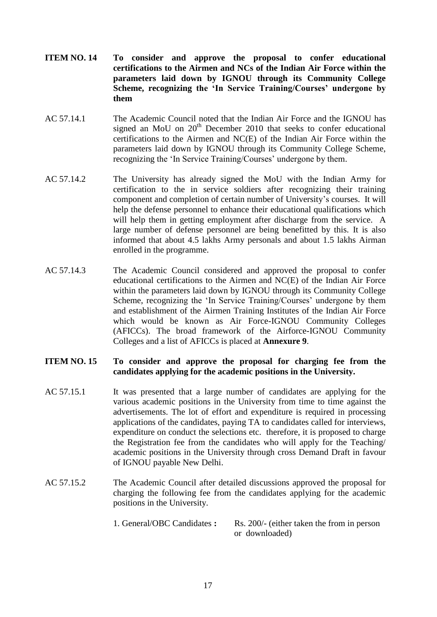- **ITEM NO. 14 To consider and approve the proposal to confer educational certifications to the Airmen and NCs of the Indian Air Force within the parameters laid down by IGNOU through its Community College Scheme, recognizing the 'In Service Training/Courses' undergone by them**
- AC 57.14.1 The Academic Council noted that the Indian Air Force and the IGNOU has signed an MoU on 20<sup>th</sup> December 2010 that seeks to confer educational certifications to the Airmen and NC(E) of the Indian Air Force within the parameters laid down by IGNOU through its Community College Scheme, recognizing the 'In Service Training/Courses' undergone by them.
- AC 57.14.2 The University has already signed the MoU with the Indian Army for certification to the in service soldiers after recognizing their training component and completion of certain number of University's courses. It will help the defense personnel to enhance their educational qualifications which will help them in getting employment after discharge from the service. A large number of defense personnel are being benefitted by this. It is also informed that about 4.5 lakhs Army personals and about 1.5 lakhs Airman enrolled in the programme.
- AC 57.14.3 The Academic Council considered and approved the proposal to confer educational certifications to the Airmen and NC(E) of the Indian Air Force within the parameters laid down by IGNOU through its Community College Scheme, recognizing the 'In Service Training/Courses' undergone by them and establishment of the Airmen Training Institutes of the Indian Air Force which would be known as Air Force-IGNOU Community Colleges (AFICCs). The broad framework of the Airforce-IGNOU Community Colleges and a list of AFICCs is placed at **Annexure 9**.
- **ITEM NO. 15 To consider and approve the proposal for charging fee from the candidates applying for the academic positions in the University.**
- AC 57.15.1 It was presented that a large number of candidates are applying for the various academic positions in the University from time to time against the advertisements. The lot of effort and expenditure is required in processing applications of the candidates, paying TA to candidates called for interviews, expenditure on conduct the selections etc. therefore, it is proposed to charge the Registration fee from the candidates who will apply for the Teaching/ academic positions in the University through cross Demand Draft in favour of IGNOU payable New Delhi.
- AC 57.15.2 The Academic Council after detailed discussions approved the proposal for charging the following fee from the candidates applying for the academic positions in the University.
	- 1. General/OBC Candidates **:** Rs. 200/- (either taken the from in person or downloaded)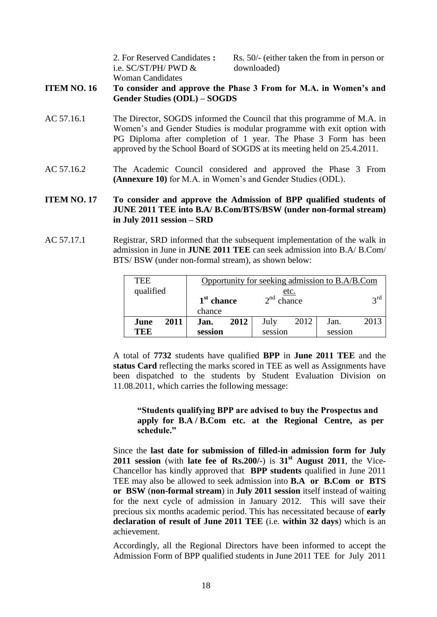| 2. For Reserved Candidates: |
|-----------------------------|
| i.e. $SC/ST/PH/ PWD \&$     |
| Woman Candidates            |

Rs. 50/- (either taken the from in person or downloaded)

**ITEM NO. 16 To consider and approve the Phase 3 From for M.A. in Women's and Gender Studies (ODL) – SOGDS**

- AC 57.16.1 The Director, SOGDS informed the Council that this programme of M.A. in Women's and Gender Studies is modular programme with exit option with PG Diploma after completion of 1 year. The Phase 3 Form has been approved by the School Board of SOGDS at its meeting held on 25.4.2011.
- AC 57.16.2 The Academic Council considered and approved the Phase 3 From **(Annexure 10)** for M.A. in Women's and Gender Studies (ODL).

### **ITEM NO. 17 To consider and approve the Admission of BPP qualified students of JUNE 2011 TEE into B.A/ B.Com/BTS/BSW (under non-formal stream) in July 2011 session – SRD**

AC 57.17.1 Registrar, SRD informed that the subsequent implementation of the walk in admission in June in **JUNE 2011 TEE** can seek admission into B.A/ B.Com/ BTS/ BSW (under non-formal stream), as shown below:

| TEE          | Opportunity for seeking admission to B.A/B.Com |              |                 |
|--------------|------------------------------------------------|--------------|-----------------|
| qualified    |                                                | <u>etc.</u>  |                 |
|              | $1st$ chance                                   | $2nd$ chance | $2^{\text{rd}}$ |
|              | chance                                         |              |                 |
| 2011<br>June | 2012<br>Jan.                                   | 2012<br>July | 2013<br>Jan.    |
| TEE          | session                                        | session      | session         |

A total of **7732** students have qualified **BPP** in **June 2011 TEE** and the **status Card** reflecting the marks scored in TEE as well as Assignments have been dispatched to the students by Student Evaluation Division on 11.08.2011, which carries the following message:

### **"Students qualifying BPP are advised to buy the Prospectus and apply for B.A / B.Com etc. at the Regional Centre, as per schedule."**

Since the **last date for submission of filled-in admission form for July 2011 session** (with **late fee of Rs.200/-**) is **31st August 2011**, the Vice-Chancellor has kindly approved that **BPP students** qualified in June 2011 TEE may also be allowed to seek admission into **B.A or B.Com or BTS or BSW** (**non-formal stream**) in **July 2011 session** itself instead of waiting for the next cycle of admission in January 2012. This will save their precious six months academic period. This has necessitated because of **early declaration of result of June 2011 TEE** (i.e. **within 32 days**) which is an achievement.

Accordingly, all the Regional Directors have been informed to accept the Admission Form of BPP qualified students in June 2011 TEE for July 2011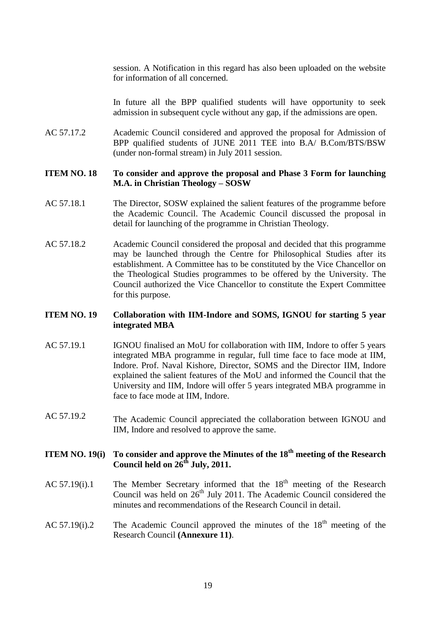session. A Notification in this regard has also been uploaded on the website for information of all concerned.

In future all the BPP qualified students will have opportunity to seek admission in subsequent cycle without any gap, if the admissions are open.

AC 57.17.2 Academic Council considered and approved the proposal for Admission of BPP qualified students of JUNE 2011 TEE into B.A/ B.Com/BTS/BSW (under non-formal stream) in July 2011 session.

### **ITEM NO. 18 To consider and approve the proposal and Phase 3 Form for launching M.A. in Christian Theology – SOSW**

- AC 57.18.1 The Director, SOSW explained the salient features of the programme before the Academic Council. The Academic Council discussed the proposal in detail for launching of the programme in Christian Theology.
- AC 57.18.2 Academic Council considered the proposal and decided that this programme may be launched through the Centre for Philosophical Studies after its establishment. A Committee has to be constituted by the Vice Chancellor on the Theological Studies programmes to be offered by the University. The Council authorized the Vice Chancellor to constitute the Expert Committee for this purpose.

### **ITEM NO. 19 Collaboration with IIM-Indore and SOMS, IGNOU for starting 5 year integrated MBA**

- AC 57.19.1 IGNOU finalised an MoU for collaboration with IIM, Indore to offer 5 years integrated MBA programme in regular, full time face to face mode at IIM, Indore. Prof. Naval Kishore, Director, SOMS and the Director IIM, Indore explained the salient features of the MoU and informed the Council that the University and IIM, Indore will offer 5 years integrated MBA programme in face to face mode at IIM, Indore.
- AC 57.19.2 The Academic Council appreciated the collaboration between IGNOU and IIM, Indore and resolved to approve the same.

### **ITEM NO. 19(i) To consider and approve the Minutes of the 18th meeting of the Research Council held on 26th July, 2011.**

- AC 57.19(i).1 The Member Secretary informed that the  $18<sup>th</sup>$  meeting of the Research Council was held on  $26<sup>th</sup>$  July 2011. The Academic Council considered the minutes and recommendations of the Research Council in detail.
- AC 57.19(i).2 The Academic Council approved the minutes of the  $18<sup>th</sup>$  meeting of the Research Council **(Annexure 11)**.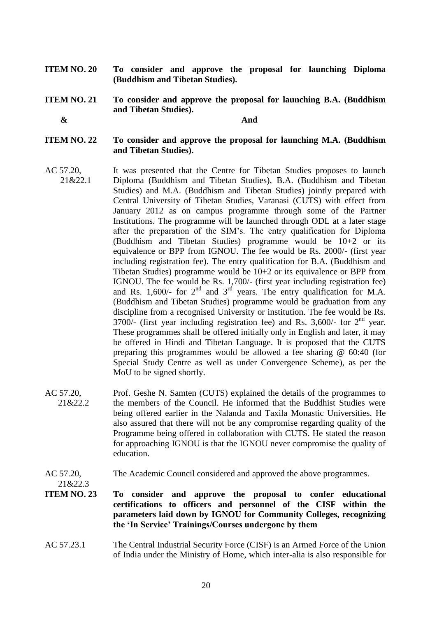- **ITEM NO. 20 To consider and approve the proposal for launching Diploma (Buddhism and Tibetan Studies).**
- **ITEM NO. 21 To consider and approve the proposal for launching B.A. (Buddhism and Tibetan Studies).**

 **&**

21&22.3

**And**

- **ITEM NO. 22 To consider and approve the proposal for launching M.A. (Buddhism and Tibetan Studies).**
- AC 57.20, 21&22.1 It was presented that the Centre for Tibetan Studies proposes to launch Diploma (Buddhism and Tibetan Studies), B.A. (Buddhism and Tibetan Studies) and M.A. (Buddhism and Tibetan Studies) jointly prepared with Central University of Tibetan Studies, Varanasi (CUTS) with effect from January 2012 as on campus programme through some of the Partner Institutions. The programme will be launched through ODL at a later stage after the preparation of the SIM's. The entry qualification for Diploma (Buddhism and Tibetan Studies) programme would be 10+2 or its equivalence or BPP from IGNOU. The fee would be Rs. 2000/- (first year including registration fee). The entry qualification for B.A. (Buddhism and Tibetan Studies) programme would be  $10+2$  or its equivalence or BPP from IGNOU. The fee would be Rs. 1,700/- (first year including registration fee) and Rs. 1,600/- for  $2<sup>nd</sup>$  and  $3<sup>rd</sup>$  years. The entry qualification for M.A. (Buddhism and Tibetan Studies) programme would be graduation from any discipline from a recognised University or institution. The fee would be Rs. 3700 $\overline{\phantom{a}}$  (first year including registration fee) and Rs. 3,600 $\overline{\phantom{a}}$  for  $2<sup>nd</sup>$  year. These programmes shall be offered initially only in English and later, it may be offered in Hindi and Tibetan Language. It is proposed that the CUTS preparing this programmes would be allowed a fee sharing @ 60:40 (for Special Study Centre as well as under Convergence Scheme), as per the MoU to be signed shortly.
- AC 57.20, 21&22.2 Prof. Geshe N. Samten (CUTS) explained the details of the programmes to the members of the Council. He informed that the Buddhist Studies were being offered earlier in the Nalanda and Taxila Monastic Universities. He also assured that there will not be any compromise regarding quality of the Programme being offered in collaboration with CUTS. He stated the reason for approaching IGNOU is that the IGNOU never compromise the quality of education.
- AC 57.20, The Academic Council considered and approved the above programmes.
- **ITEM NO. 23 To consider and approve the proposal to confer educational certifications to officers and personnel of the CISF within the parameters laid down by IGNOU for Community Colleges, recognizing the 'In Service' Trainings/Courses undergone by them**
- AC 57.23.1 The Central Industrial Security Force (CISF) is an Armed Force of the Union of India under the Ministry of Home, which inter-alia is also responsible for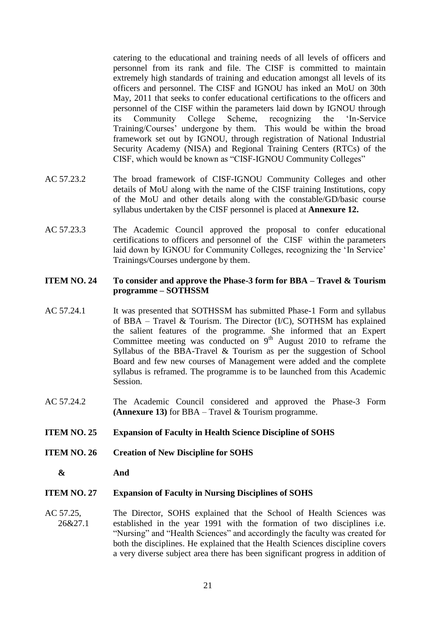catering to the educational and training needs of all levels of officers and personnel from its rank and file. The CISF is committed to maintain extremely high standards of training and education amongst all levels of its officers and personnel. The CISF and IGNOU has inked an MoU on 30th May, 2011 that seeks to confer educational certifications to the officers and personnel of the CISF within the parameters laid down by IGNOU through its Community College Scheme, recognizing the 'In-Service Training/Courses' undergone by them. This would be within the broad framework set out by IGNOU, through registration of National Industrial Security Academy (NISA) and Regional Training Centers (RTCs) of the CISF, which would be known as "CISF-IGNOU Community Colleges"

- AC 57.23.2 The broad framework of CISF-IGNOU Community Colleges and other details of MoU along with the name of the CISF training Institutions, copy of the MoU and other details along with the constable/GD/basic course syllabus undertaken by the CISF personnel is placed at **Annexure 12.**
- AC 57.23.3 The Academic Council approved the proposal to confer educational certifications to officers and personnel of the CISF within the parameters laid down by IGNOU for Community Colleges, recognizing the 'In Service' Trainings/Courses undergone by them.

### **ITEM NO. 24 To consider and approve the Phase-3 form for BBA – Travel & Tourism programme – SOTHSSM**

- AC 57.24.1 It was presented that SOTHSSM has submitted Phase-1 Form and syllabus of BBA – Travel & Tourism. The Director  $(IC)$ , SOTHSM has explained the salient features of the programme. She informed that an Expert Committee meeting was conducted on  $9<sup>th</sup>$  August 2010 to reframe the Syllabus of the BBA-Travel & Tourism as per the suggestion of School Board and few new courses of Management were added and the complete syllabus is reframed. The programme is to be launched from this Academic Session.
- AC 57.24.2 The Academic Council considered and approved the Phase-3 Form **(Annexure 13)** for BBA – Travel & Tourism programme.
- **ITEM NO. 25 Expansion of Faculty in Health Science Discipline of SOHS**
- **ITEM NO. 26 Creation of New Discipline for SOHS**
	- **& And**

#### **ITEM NO. 27 Expansion of Faculty in Nursing Disciplines of SOHS**

AC 57.25, 26&27.1 The Director, SOHS explained that the School of Health Sciences was established in the year 1991 with the formation of two disciplines i.e. "Nursing" and "Health Sciences" and accordingly the faculty was created for both the disciplines. He explained that the Health Sciences discipline covers a very diverse subject area there has been significant progress in addition of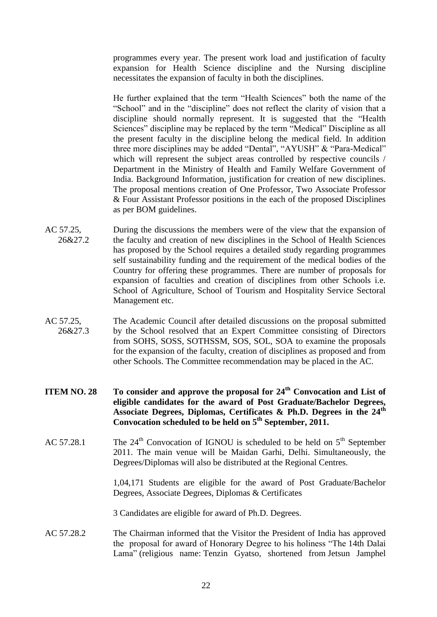programmes every year. The present work load and justification of faculty expansion for Health Science discipline and the Nursing discipline necessitates the expansion of faculty in both the disciplines.

He further explained that the term "Health Sciences" both the name of the "School" and in the "discipline" does not reflect the clarity of vision that a discipline should normally represent. It is suggested that the "Health Sciences" discipline may be replaced by the term "Medical" Discipline as all the present faculty in the discipline belong the medical field. In addition three more disciplines may be added "Dental", "AYUSH" & "Para-Medical" which will represent the subject areas controlled by respective councils / Department in the Ministry of Health and Family Welfare Government of India. Background Information, justification for creation of new disciplines. The proposal mentions creation of One Professor, Two Associate Professor & Four Assistant Professor positions in the each of the proposed Disciplines as per BOM guidelines.

- AC 57.25, 26&27.2 During the discussions the members were of the view that the expansion of the faculty and creation of new disciplines in the School of Health Sciences has proposed by the School requires a detailed study regarding programmes self sustainability funding and the requirement of the medical bodies of the Country for offering these programmes. There are number of proposals for expansion of faculties and creation of disciplines from other Schools i.e. School of Agriculture, School of Tourism and Hospitality Service Sectoral Management etc.
- AC 57.25, 26&27.3 The Academic Council after detailed discussions on the proposal submitted by the School resolved that an Expert Committee consisting of Directors from SOHS, SOSS, SOTHSSM, SOS, SOL, SOA to examine the proposals for the expansion of the faculty, creation of disciplines as proposed and from other Schools. The Committee recommendation may be placed in the AC.
- **ITEM NO. 28 To consider and approve the proposal for 24th Convocation and List of eligible candidates for the award of Post Graduate/Bachelor Degrees, Associate Degrees, Diplomas, Certificates & Ph.D. Degrees in the 24th Convocation scheduled to be held on 5th September, 2011.**
- AC 57.28.1 The  $24^{th}$  Convocation of IGNOU is scheduled to be held on  $5^{th}$  September 2011. The main venue will be Maidan Garhi, Delhi. Simultaneously, the Degrees/Diplomas will also be distributed at the Regional Centres.

1,04,171 Students are eligible for the award of Post Graduate/Bachelor Degrees, Associate Degrees, Diplomas & Certificates

3 Candidates are eligible for award of Ph.D. Degrees.

AC 57.28.2 The Chairman informed that the Visitor the President of India has approved the proposal for award of Honorary Degree to his holiness "The 14th Dalai Lama" [\(religious name:](http://en.wikipedia.org/wiki/Religious_name) Tenzin Gyatso, shortened from Jetsun Jamphel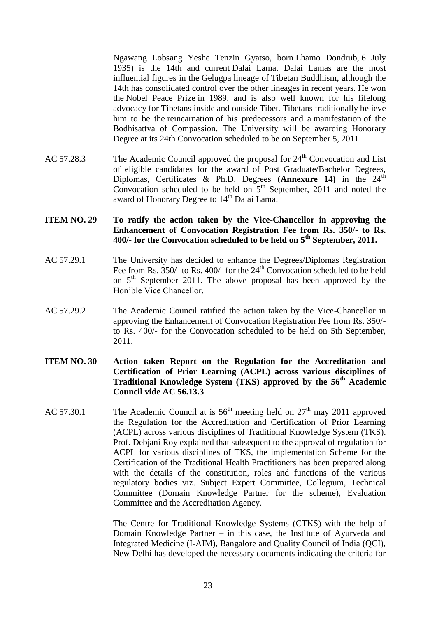Ngawang Lobsang Yeshe Tenzin Gyatso, born Lhamo Dondrub, 6 July 1935) is the 14th and current [Dalai Lama.](http://en.wikipedia.org/wiki/Dalai_Lama) Dalai Lamas are the most influential figures in the [Gelugpa](http://en.wikipedia.org/wiki/Gelug) lineage of [Tibetan Buddhism,](http://en.wikipedia.org/wiki/Tibetan_Buddhism) although the 14th has consolidated control over the other lineages in recent years. He won the [Nobel Peace Prize](http://en.wikipedia.org/wiki/Nobel_Peace_Prize) in 1989, and is also well known for his lifelong advocacy for Tibetans inside and outside Tibet. Tibetans traditionally believe him to be the [reincarnation](http://en.wikipedia.org/wiki/Reincarnation) of his predecessors and a [manifestation](http://en.wikipedia.org/wiki/Incarnation) of [the](http://en.wikipedia.org/wiki/Avalokite%C5%9Bvara)  [Bodhisattva of Compassion.](http://en.wikipedia.org/wiki/Avalokite%C5%9Bvara) The University will be awarding Honorary Degree at its 24th Convocation scheduled to be on September 5, 2011

- AC 57.28.3 The Academic Council approved the proposal for  $24<sup>th</sup>$  Convocation and List of eligible candidates for the award of Post Graduate/Bachelor Degrees, Diplomas, Certificates & Ph.D. Degrees  $(Annexure 14)$  in the  $24<sup>th</sup>$ Convocation scheduled to be held on  $5<sup>th</sup>$  September, 2011 and noted the award of Honorary Degree to 14<sup>th</sup> Dalai Lama.
- **ITEM NO. 29 To ratify the action taken by the Vice-Chancellor in approving the Enhancement of Convocation Registration Fee from Rs. 350/- to Rs. 400/- for the Convocation scheduled to be held on 5th September, 2011.**
- AC 57.29.1 The University has decided to enhance the Degrees/Diplomas Registration Fee from Rs.  $350/$ - to Rs.  $400/$ - for the  $24<sup>th</sup>$  Convocation scheduled to be held on 5<sup>th</sup> September 2011. The above proposal has been approved by the Hon'ble Vice Chancellor.
- AC 57.29.2 The Academic Council ratified the action taken by the Vice-Chancellor in approving the Enhancement of Convocation Registration Fee from Rs. 350/ to Rs. 400/- for the Convocation scheduled to be held on 5th September, 2011.
- **ITEM NO. 30 Action taken Report on the Regulation for the Accreditation and Certification of Prior Learning (ACPL) across various disciplines of Traditional Knowledge System (TKS) approved by the 56th Academic Council vide AC 56.13.3**
- AC 57.30.1 The Academic Council at is  $56<sup>th</sup>$  meeting held on  $27<sup>th</sup>$  may 2011 approved the Regulation for the Accreditation and Certification of Prior Learning (ACPL) across various disciplines of Traditional Knowledge System (TKS). Prof. Debjani Roy explained that subsequent to the approval of regulation for ACPL for various disciplines of TKS, the implementation Scheme for the Certification of the Traditional Health Practitioners has been prepared along with the details of the constitution, roles and functions of the various regulatory bodies viz. Subject Expert Committee, Collegium, Technical Committee (Domain Knowledge Partner for the scheme), Evaluation Committee and the Accreditation Agency.

The Centre for Traditional Knowledge Systems (CTKS) with the help of Domain Knowledge Partner – in this case, the Institute of Ayurveda and Integrated Medicine (I-AIM), Bangalore and Quality Council of India (QCI), New Delhi has developed the necessary documents indicating the criteria for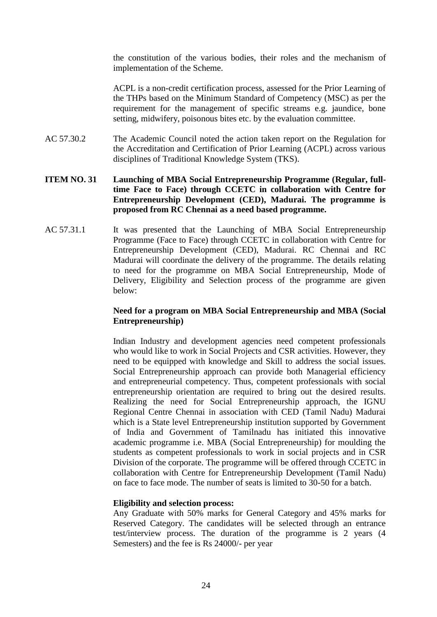the constitution of the various bodies, their roles and the mechanism of implementation of the Scheme.

ACPL is a non-credit certification process, assessed for the Prior Learning of the THPs based on the Minimum Standard of Competency (MSC) as per the requirement for the management of specific streams e.g. jaundice, bone setting, midwifery, poisonous bites etc. by the evaluation committee.

AC 57.30.2 The Academic Council noted the action taken report on the Regulation for the Accreditation and Certification of Prior Learning (ACPL) across various disciplines of Traditional Knowledge System (TKS).

### **ITEM NO. 31 Launching of MBA Social Entrepreneurship Programme (Regular, fulltime Face to Face) through CCETC in collaboration with Centre for Entrepreneurship Development (CED), Madurai. The programme is proposed from RC Chennai as a need based programme.**

AC 57.31.1 It was presented that the Launching of MBA Social Entrepreneurship Programme (Face to Face) through CCETC in collaboration with Centre for Entrepreneurship Development (CED), Madurai. RC Chennai and RC Madurai will coordinate the delivery of the programme. The details relating to need for the programme on MBA Social Entrepreneurship, Mode of Delivery, Eligibility and Selection process of the programme are given below:

### **Need for a program on MBA Social Entrepreneurship and MBA (Social Entrepreneurship)**

Indian Industry and development agencies need competent professionals who would like to work in Social Projects and CSR activities. However, they need to be equipped with knowledge and Skill to address the social issues. Social Entrepreneurship approach can provide both Managerial efficiency and entrepreneurial competency. Thus, competent professionals with social entrepreneurship orientation are required to bring out the desired results. Realizing the need for Social Entrepreneurship approach, the IGNU Regional Centre Chennai in association with CED (Tamil Nadu) Madurai which is a State level Entrepreneurship institution supported by Government of India and Government of Tamilnadu has initiated this innovative academic programme i.e. MBA (Social Entrepreneurship) for moulding the students as competent professionals to work in social projects and in CSR Division of the corporate. The programme will be offered through CCETC in collaboration with Centre for Entrepreneurship Development (Tamil Nadu) on face to face mode. The number of seats is limited to 30-50 for a batch.

### **Eligibility and selection process:**

Any Graduate with 50% marks for General Category and 45% marks for Reserved Category. The candidates will be selected through an entrance test/interview process. The duration of the programme is 2 years (4 Semesters) and the fee is Rs 24000/- per year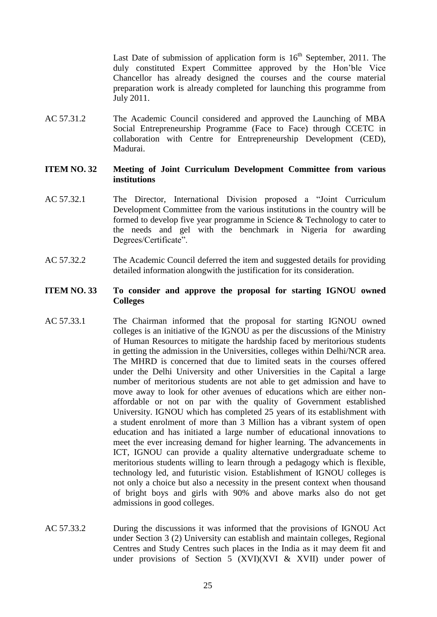Last Date of submission of application form is  $16<sup>th</sup>$  September, 2011. The duly constituted Expert Committee approved by the Hon'ble Vice Chancellor has already designed the courses and the course material preparation work is already completed for launching this programme from July 2011.

AC 57.31.2 The Academic Council considered and approved the Launching of MBA Social Entrepreneurship Programme (Face to Face) through CCETC in collaboration with Centre for Entrepreneurship Development (CED), Madurai.

### **ITEM NO. 32 Meeting of Joint Curriculum Development Committee from various institutions**

- AC 57.32.1 The Director, International Division proposed a "Joint Curriculum Development Committee from the various institutions in the country will be formed to develop five year programme in Science & Technology to cater to the needs and gel with the benchmark in Nigeria for awarding Degrees/Certificate".
- AC 57.32.2 The Academic Council deferred the item and suggested details for providing detailed information alongwith the justification for its consideration.

### **ITEM NO. 33 To consider and approve the proposal for starting IGNOU owned Colleges**

- AC 57.33.1 The Chairman informed that the proposal for starting IGNOU owned colleges is an initiative of the IGNOU as per the discussions of the Ministry of Human Resources to mitigate the hardship faced by meritorious students in getting the admission in the Universities, colleges within Delhi/NCR area. The MHRD is concerned that due to limited seats in the courses offered under the Delhi University and other Universities in the Capital a large number of meritorious students are not able to get admission and have to move away to look for other avenues of educations which are either nonaffordable or not on par with the quality of Government established University. IGNOU which has completed 25 years of its establishment with a student enrolment of more than 3 Million has a vibrant system of open education and has initiated a large number of educational innovations to meet the ever increasing demand for higher learning. The advancements in ICT, IGNOU can provide a quality alternative undergraduate scheme to meritorious students willing to learn through a pedagogy which is flexible, technology led, and futuristic vision. Establishment of IGNOU colleges is not only a choice but also a necessity in the present context when thousand of bright boys and girls with 90% and above marks also do not get admissions in good colleges.
- AC 57.33.2 During the discussions it was informed that the provisions of IGNOU Act under Section 3 (2) University can establish and maintain colleges, Regional Centres and Study Centres such places in the India as it may deem fit and under provisions of Section 5  $(XVI)(XVI \& XVII)$  under power of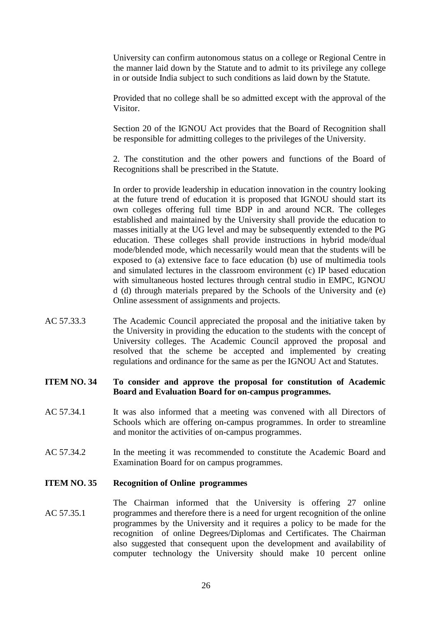University can confirm autonomous status on a college or Regional Centre in the manner laid down by the Statute and to admit to its privilege any college in or outside India subject to such conditions as laid down by the Statute.

Provided that no college shall be so admitted except with the approval of the Visitor.

Section 20 of the IGNOU Act provides that the Board of Recognition shall be responsible for admitting colleges to the privileges of the University.

2. The constitution and the other powers and functions of the Board of Recognitions shall be prescribed in the Statute.

In order to provide leadership in education innovation in the country looking at the future trend of education it is proposed that IGNOU should start its own colleges offering full time BDP in and around NCR. The colleges established and maintained by the University shall provide the education to masses initially at the UG level and may be subsequently extended to the PG education. These colleges shall provide instructions in hybrid mode/dual mode/blended mode, which necessarily would mean that the students will be exposed to (a) extensive face to face education (b) use of multimedia tools and simulated lectures in the classroom environment (c) IP based education with simultaneous hosted lectures through central studio in EMPC, IGNOU d (d) through materials prepared by the Schools of the University and (e) Online assessment of assignments and projects.

AC 57.33.3 The Academic Council appreciated the proposal and the initiative taken by the University in providing the education to the students with the concept of University colleges. The Academic Council approved the proposal and resolved that the scheme be accepted and implemented by creating regulations and ordinance for the same as per the IGNOU Act and Statutes.

### **ITEM NO. 34 To consider and approve the proposal for constitution of Academic Board and Evaluation Board for on-campus programmes.**

- AC 57.34.1 It was also informed that a meeting was convened with all Directors of Schools which are offering on-campus programmes. In order to streamline and monitor the activities of on-campus programmes.
- AC 57.34.2 In the meeting it was recommended to constitute the Academic Board and Examination Board for on campus programmes.

#### **ITEM NO. 35 Recognition of Online programmes**

AC 57.35.1 The Chairman informed that the University is offering 27 online programmes and therefore there is a need for urgent recognition of the online programmes by the University and it requires a policy to be made for the recognition of online Degrees/Diplomas and Certificates. The Chairman also suggested that consequent upon the development and availability of computer technology the University should make 10 percent online